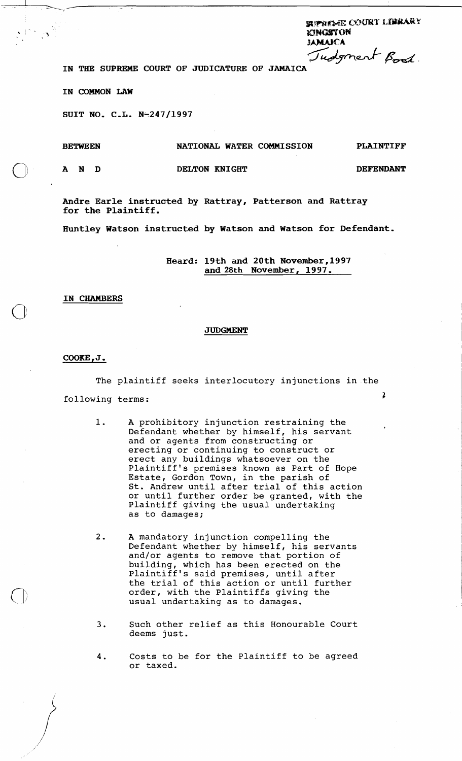SUPREME COURT LIBRARY **goncerton**<br>**IN THE SUPREME** COURT OF JUDICATURE OF JAMAICA Judgment Bood.

**IN COMMON LAW** 

SUIT NO. C.L. N-247/1997

## **BETWEEN NATIONAL WATER COMMISSION PLAINTIFF**

**AND DELTON KNIGHT DEFENDANT** 

**Andre Earle instructed by Rattray, Patterson and Rattray for the Plaintiff.** 

**Huntley Watson instructed by Watson and Watson for Defendant,** 

**Heard: 19th and 20th November,l997 and 28th November, 1997,** 

IN CHAMBERS

# **JUDGMENT**

**COOKE** , **J** ,

The plaintiff seeks interlocutory injunctions in the following terms: 2

> $1$ . A prohibitory injunction restraining the Defendant whether by himself, his servant and or agents from constructing or erecting or continuing to construct or erect any buildings whatsoever on the Plaintiff's premises known as Part of Hope Estate, Gordon Town, in the parish of St. Andrew until after trial of this action or until further order be granted, with the Plaintiff giving the usual undertaking as to damages;

 $2.$ A mandatory injunction compelling the Defendant whether by himself, his servants and/or agents to remove that portion of building, which has been erected on the Plaintiff's said premises, until after the trial of this action or until further order, with the Plaintiffs giving the usual undertaking as to damages.

- **3.** Such other relief as this Honourable Court deems just.
- 4. Costs to be for the Plaintiff to be agreed or taxed.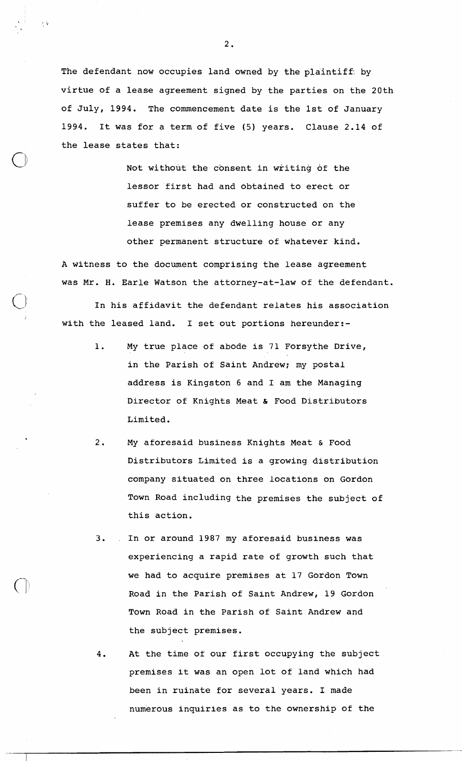The defendant now occupies land owned by the plaintiff: by virtue of a lease agreement signed by the parties on the 20th of July, 1994. The commencement date is the 1st of January 1994. It was for a term of five (5) years. Clause 2.14 of the lease states that:

> Not without the consent in writing of the lessor first had and obtained to erect or suffer to be erected or constructed on the lease premises any dwelling house or any other permanent structure of whatever kind.

**A** witness to the document comprising the lease agreement was Mr. H. Earle Watson the attorney-at-law of the defendant.

In his affidavit the defendant relates his association with the leased land. I set out portions hereunder:-

- 1. My true place of abode is 71 Forsythe Drive, in the Parish of Saint Andrew; my postal address is Kingston 6 and I am the Managing Director of Knights Meat & Food Distributors Limited.
- 2. My aforesaid business Knights Meat & Food Distributors Limited is a growing distribution company situated on three locations on Gordon Town Road including the premises the subject of this action.
- 3. . In or around 1987 my aforesaid business was experiencing a rapid rate of growth such that we had to acquire premises at 17 Gordon Town Road in the Parish of Saint Andrew, 19 Gordon Town Road in the Parish of Saint Andrew and the subject premises.
- 4. At the time of our first occupying the subject premises it was an open lot of land which had been in ruinate for several years. I made numerous inquiries as to the ownership of the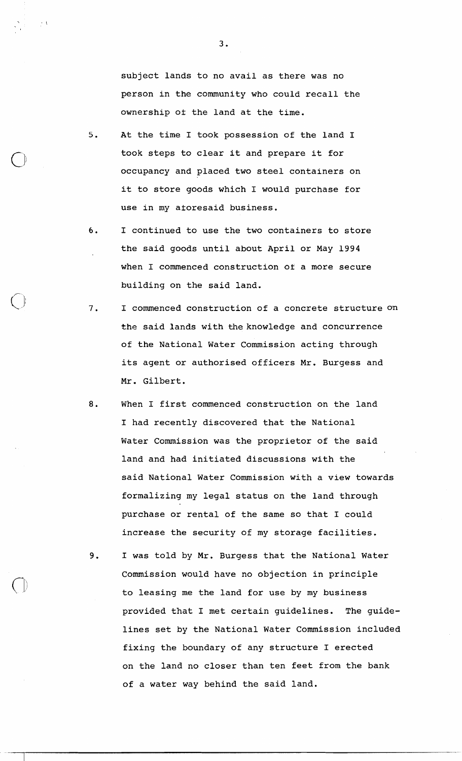subject lands to no avail as there was no person in the community who could recall the ownership ot the land at the time.

- 5. At the time I took possession of the land I took steps to clear it and prepare it for occupancy and placed two steel containers on it to store goods which I would purchase for use in my atoresaid business.
- 6. I continued to use the two containers to store the said goods until about April or May 1994 when I commenced construction of a more secure building on the said land.
- 7. I commenced construction of a concrete structure o'n the said lands with the knowledge and concurrence of the National Water Commission acting through its agent or authorised officers Mr. Burgess and Mr. Gilbert.
- 8. When I first commenced construction on the land I had recently discovered that the National Water Commission was the proprietor of the said land and had initiated discussions with the said National Water Commission with a view towards formalizing my legal status on the land through purchase or rental of the same so that I could increase the security of my storage facilities.
- 9. I was told by Mr. Burgess that the National Water Commission would have no objection in principle to leasing me the land for use by my business provided that I met certain guidelines. The guidelines set by the National Water Commission included fixing the boundary of any structure I erected on the land no closer than ten feet from the bank of a water way behind the said land.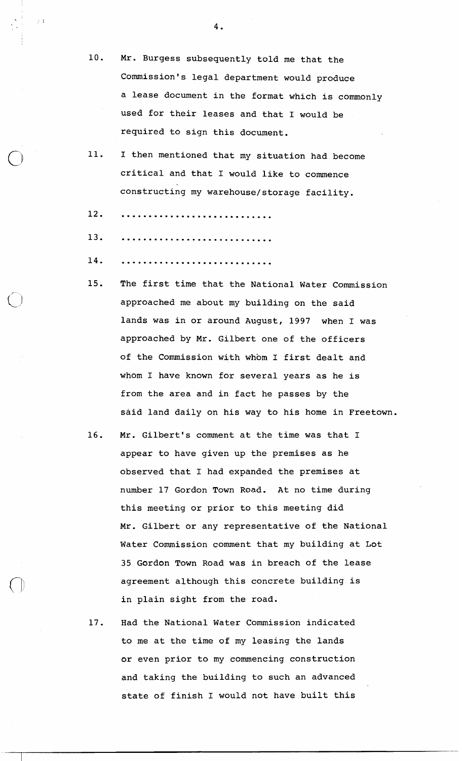- **10.** Mr. Burgess subsequently told me that the Commission's legal department would produce a lease document in the format which is commonly used for their leases and that I would be required to sign this document.
- **11. I** then mentioned that my situation had become critical and that I would like to commence constructing my warehouse/storage facility.
- 12.
- 13.
- 14.
- **15.** The first time that the National Water Commission approached me about my building on the said lands was in or around August, **1997** when I was approached by Mr. Gilbert one of the officers of the Commission with whom I first dealt and whom I have known for several years as he is from the area and in fact he passes by the said land daily on his way to his home in Freetown.
- **16.** Mr. Gilbert's comment at the time was that I appear to have given up the premises as he observed that I had expanded the premises at number **17** Gordon Town Road. At no time during this meeting or prior to this meeting did Mr. Gilbert or any representative of the National Water Commission comment that my building at Lot **35** Gordon Town Road was in breach of the lease agreement although this concrete building is in plain sight from the road.
- **17.** Had the National Water Commission indicated to me at the time of my leasing the lands or even prior to my commencing construction and taking the building to such an advanced state of finish I would not have built this

 $4.$ 

 $\sim$  1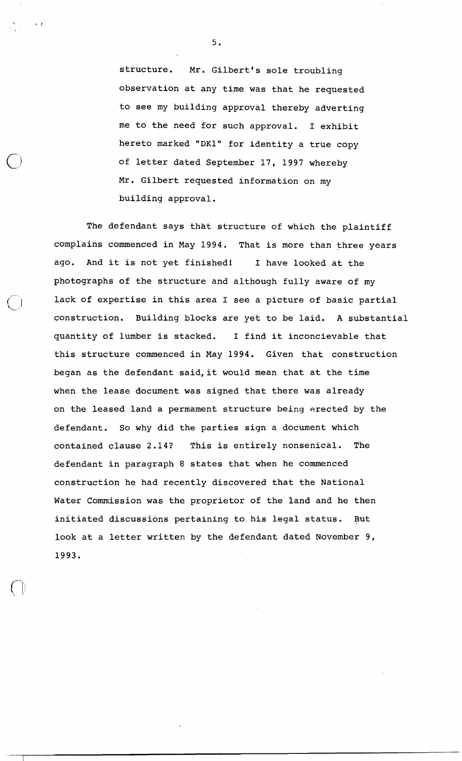structure. Mr. Gilbert's sole troubling observation at any time was that he requested to see my building approval thereby adverting me to the need for such approval. I exhibit hereto marked "DK1" for identity a true copy of letter dated September 17, 1997 whereby Mr. Gilbert requested information on my building approval.

The defendant says that structure of which the plaintiff complains commenced in May 1994. That is more than three years ago. And it is not yet finished! I have looked at the photographs of the structure and although fully aware of my lack of expertise in this area I see a picture of basic partial construction. Building blocks are yet to be laid. A substantial quantity of lumber is stacked. I find it inconcievable that this structure commenced in May 1994. Given that construction began as the defendant said, it would mean that at the time when the lease document was signed that there was already on the leased land a permament structure being erected by the defendant. So why did the parties sign a document which contained clause 2.14? This is entirely nonsenical. The defendant in paragraph 8 states that when he commenced construction he had recently discovered that the National Water Commission was the proprietor of the land and he then initiated discussions pertaining to his legal status. But look at a letter written by the defendant dated November 9, 1993.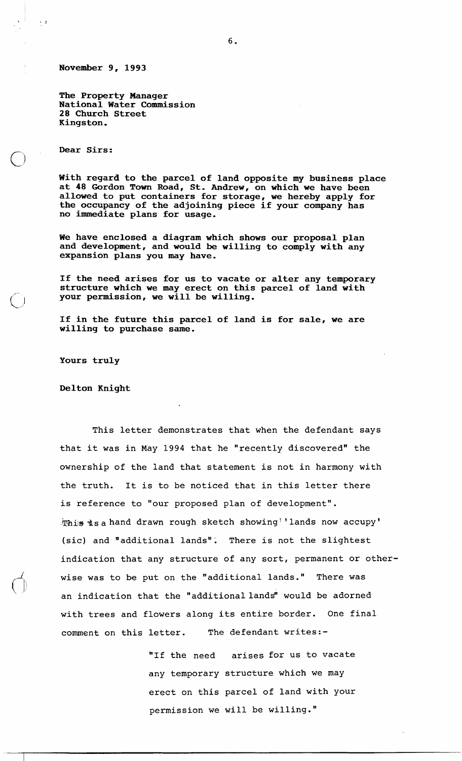**November 9, 1993** 

**The Property Manager National Water Commission 28 Church Street Kingston.** 

**Dear Sirs** :

 $\bigcap$ 

 $\frac{1}{2}$ 

**With regard to the parcel of land opposite my business place at 48 Gordon Town Road, St. Andrew, on which we have been allowed to put containers for storage, we hereby apply for the occupancy of the adjoining piece if your company has no immediate plans for usage.** 

**We have enclosed a diagram which shows our proposal plan and development, and would be willing to comply with any expansion plans you may have.** 

**If the need arises for us to vacate or alter any temporary structure which we may erect on this parcel of land with your permission, we will be willing.** 

**If in the future this parcel of land is for sale, we are willing to purchase same.** 

**Yours truly** 

**Delton Knight** 

This letter demonstrates that when the defendant says that it was in May 1994 that he "recently discovered" the ownership of the land that statement is not in harmony with the truth. It is to be noticed that in this letter there is reference to "our proposed plan of development". This is a hand drawn rough sketch showing''lands now accupy' (sic) and "additional lands". There is not the slightest indication that any structure of any sort, permanent or otherwise was to be put on the "additional lands." There was an indication that the "additional lands" would be adorned with trees and flowers along its entire border. One final comment on this letter. The defendant writes:-

> "If the need arises for us to vacate any temporary structure which we may erect on this parcel of land with your permission we will be willing."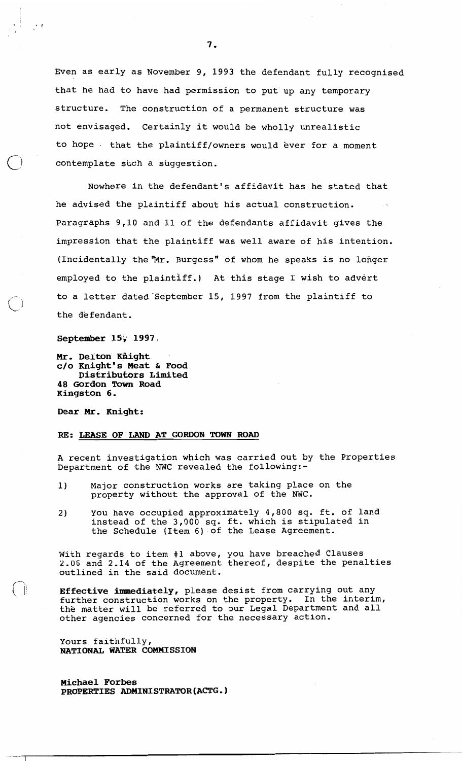Even as early as November 9, 1993 the defendant fully recognised that he had to have had permission to put'up any temporary structure. The construction of a permanent structure was not envisaged. Certainly it would be wholly unrealistic to hope . that the plaintiff/owners would ever for a moment contemplate such a suggestion.

Nowhere in the defendant's affidavit has he stated that he advised the plaintiff about his actual construction. Paragraphs 9,10 and 11 of the defendants affidavit gives the impression that the plaintiff was well aware of his intention. (Incidentally the "Mr. Burgess" of whom he speaks is no longer employed to the plaintiff.) At this stage I wish to advert to a letter dated'september 15, 1997 from the plaintiff to the defendant.

#### September 15, 1997,

 $\ddot{\phantom{1}}$ 

**Mr. Delton might c/o Knight's Meat** & **Food Distributors Limited 48 Gordon Town Road Kingston 6.** 

**Dear Mr. Knight:** 

### **RE: LEASE OF LAND AT GORDON TOWN ROAD**

A recent investigation which was carried out by the Properties Department of the NWC revealed the following:-

- 1) Major construction works are taking place on the property without the approval of the NWC.
- **2** You have occupied approximately 4,800 sq. ft. of land instead of the 3,000 sq. ft. which is stipulated in the Schedule (Item 6) of the Lease Agreement.

With regards to item #1 above, you have breached Clauses 2.06 and 2.14 of the Agreement thereof, despite the penalties outlined in the said document.

**Effective immediately,** please desist from carrying out any further construction works on the property. In the interim, the matter will be referred to our Legal Department and all other agencies concerned for the necessary action.

Yours faithfully, **NATIONAL WATER COMMISSION** 

**Michael Forbes PROPERTIES ADMINISTRATOR (ACTG** . )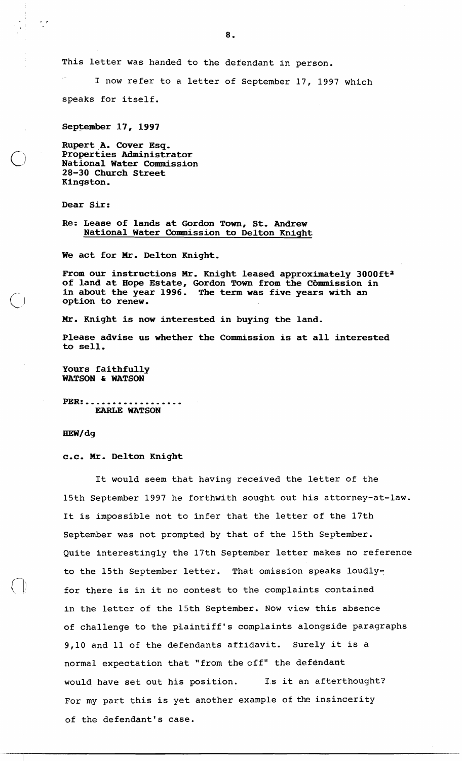This letter was handed to the defendant in person.

I now refer to a letter of September 17, 1997 which speaks for itself.

**September 17, 1997** 

**Rupert A. Cover Esq. Properties Administrator National Water Commission 28-30 Church Street Kingston.** 

**Dear Sir:** 

 $\frac{1}{2}$ 

**Re: Lease of lands at Gordon Town, St. Andrew National Water Commission to Delton Knight** 

**We act for Mr. Delton Knight.** 

From our instructions Mr. Knight leased approximately 3000ft<sup>2</sup> of land at Hope Estate, Gordon Town from the Commission in **in about the year 1996. The term was five years with an option to renew.** 

**Mr. Knight is now interested in buying the land.** 

**Please advise us whether the Commission is at all interested to sell.** 

**Yours faithfully WATSON** *h* **WATSON** 

**PER:.................. EARLE WATSON** 

HEW/dq

#### **C.C. Mr. Delton Knight**

It would seem that having received the letter of the 15th September 1997 he forthwith sought out his attorney-at-law. It is impossible not to infer that the letter of the 17th September was not prompted by that of the 15th September. Quite interestingly the 17th September letter makes no reference to the 15th September letter. That omission speaks loudlyfor there is in it no contest to the complaints contained in the letter of the 15th September. Now view this absence of challenge to the plaintiff's complaints alongside paragraphs 9,10 and 11 of the defendants affidavit. Surely it is a normal expectation that "from the cff" the defendant would have set out his position. Is it an afterthought? For my part this is yet another example of the insincerity of the defendant's case.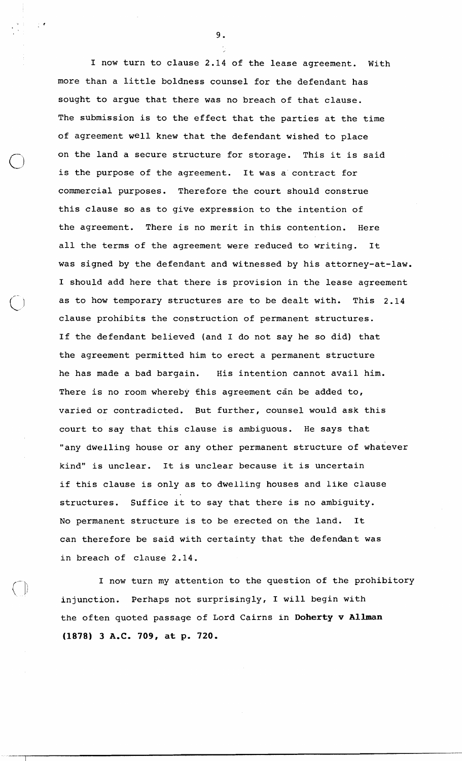I now turn to clause 2.14 of the lease agreement. With more than a little boldness counsel for the defendant has sought to argue that there was no breach of that clause. The submission is to the effect that the parties at the time of agreement well knew that the defendant wished to place on the land a secure structure for storage. This it is said is the purpose of the agreement. It was a contract for commercial purposes. Therefore the court should construe this clause so as to give expression to the intention of the agreement. There is no merit in this contention. Here all the terms of the agreement were reduced to writing. It was signed by the defendant and witnessed by his attorney-at-law. I should add here that there is provision in the lease agreement as to how temporary structures are to be dealt with. This 2.14 clause prohibits the construction of permanent structures. If the defendant believed (and I do not say he so did) that the agreement permitted him to erect a permanent structure he has made a bad bargain. His intention cannot avail him. There is no room whereby this agreement can be added to, varied or contradicted. But further, counsel would ask this court to say that this clause is ambiguous. He says that "any dwelling house or any other permanent structure of whatever kind" is unclear. It is unclear because it is uncertain if this clause is only as to dwelling houses and like clause structures. Suffice it to say that there is no ambiguity. No permanent structure is to be erected on the land. It can therefore be said with certainty that the defendant was in breach of clause 2.14.

I now turn my attention to the question of the prohibitory injunction. Perhaps not surprisingly, I will begin with the often quoted passage of Lord Cairns in **Doherty** v **Allman (1878) 3 A.C. 709, at p. 720.**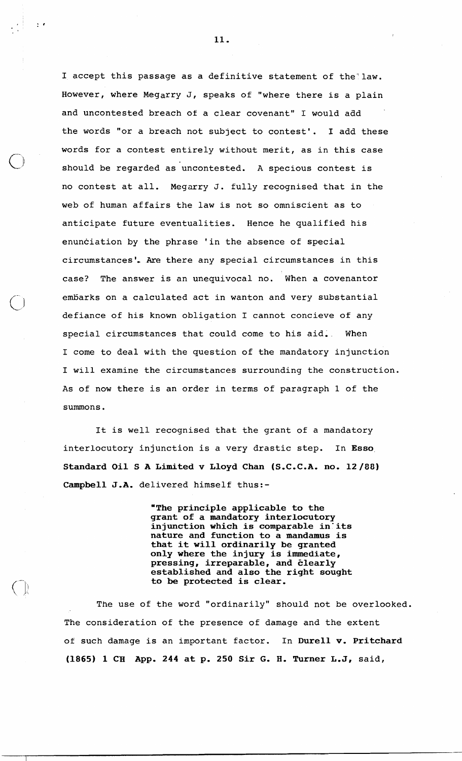I accept this passage as a definitive statement of the' law. However, where Megarry J, speaks of "where there is a plain and uncontested breach of a clear covenant" I would add the words "or a breach not subject to contest'. I add these words for a contest entirely without merit, as in this case should be regarded as uncontested. A specious contest is no contest at all. Megarry J. fully recognised that in the web of human affairs the law is not so omniscient as to anticipate future eventualities. Hence he qualified his enunciation by the phrase 'in the absence of special circumstances', **Are** there any special circumstances in this case? The answer is an unequivocal no. When a covenantor embarks on a calculated act in wanton and very substantial defiance of his known obligation I cannot concieve of any special circumstances that could come to his aid. When I come to deal with the question of the mandatory injunction I will examine the circumstances surrounding the construction. As of now there is an order in terms of paragraph 1 of the summons.

It is well recognised that the grant of a mandatory interlocutory injunction is a very drastic step. In **Esso Standard Oil S A Limited v Lloyd Chan (S.C.C.A. no. 12/88) Campbell J.A.** delivered himself thus:-

> **"The principle applicable to the grant of a mandatory interlocutory injunction which is comparable in'its nature and function to a mandamus is that it will ordinarily be granted only where the injury is immediate, pressing, irreparable, and elearly established and also the right sought to be protected is clear.**

The use of the word "ordinarily" should not be overlooked. The consideration of the presence of damage and the extent of such damage is an important factor. In **Durell** v. **Pritchard (1865) 1 CH App. 244 at p. 250 Sir G. H. Turner L,J,** said,

11.

 $\frac{1}{2}$  .  $\epsilon$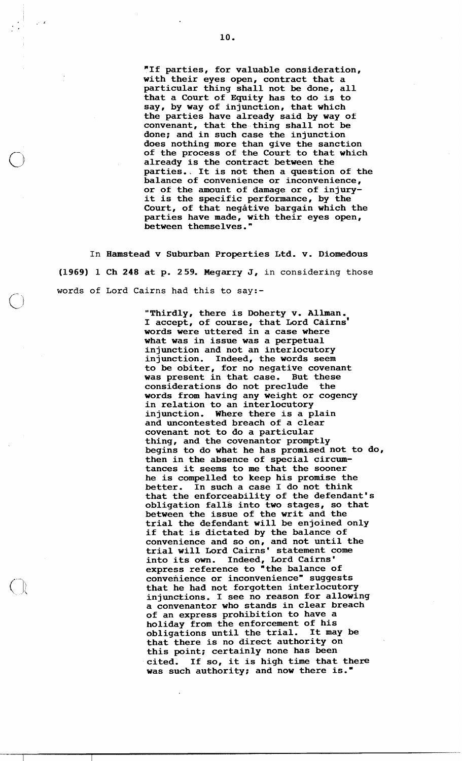**"If parties, for valuable consideration, with their eyes open, contract that a particular thing shall not be done, all that a Court of Equity has to do is to say, by way of injunction, that which the parties have already said by way of convenant, that the thing shall not be done; and in such case the injunction does nothing more than give the sanction of the process of the Court to that which already is the contract between the parties., It is not then a question of the balance of convenience or inconvenience, or of the amount of damage or of injuryit is the specific performance, by the Court, of that negative bargain which the parties have made, with their eyes open, between themselves."** 

**In Hamstead v Suburban Properties Ltd. v. Diomedous (1969) 1 Ch 248 at p. 259. Megarry J, in considering those words of Lord Cairns had this to say:-** 

 $\sqrt{ }$ 

**"Thirdly, there is Doherty v. Allman, I accept, of course, that Lord cairns' words were uttered in a case where what was in issue was a perpetual injunction and not an interlocutory injunction. Indeed, the words seem to be obiter, for no negative covenant was present in that case. But these considerations do not preclude the words from having any weight or cogency in relation to an interlocutory injunction. Where there is a plain and uncontested breach of a clear covenant not to do a particular thing, and the covenantor promptly begins to do what he has promised not to do, then in the absence of special circumtances it seems to me that the sooner he is compelled to keep his promise the better. In such a case I do not think that the enforceability of the defendant's obligation falls into two stages, so that between the issue of the writ and the trial the defendant will be enjoined only if that is dictated by the balance of convenience and so on, and not until the trial will Lord Cairns' statement come into its own. Indeed, Lord Cairns' express reference to "the balance of convenience or inconvenience" suggests that he had not forgotten interlocutory injunctions. I see no reason for allowing a convenantor who stands in clear breach of an express prohibition to have a holiday from the enforcement of his obligations until the trial. that there is no direct authority on this point; certainly none has been**  cited. If so, it is high time that there **was such authority; and now there is."**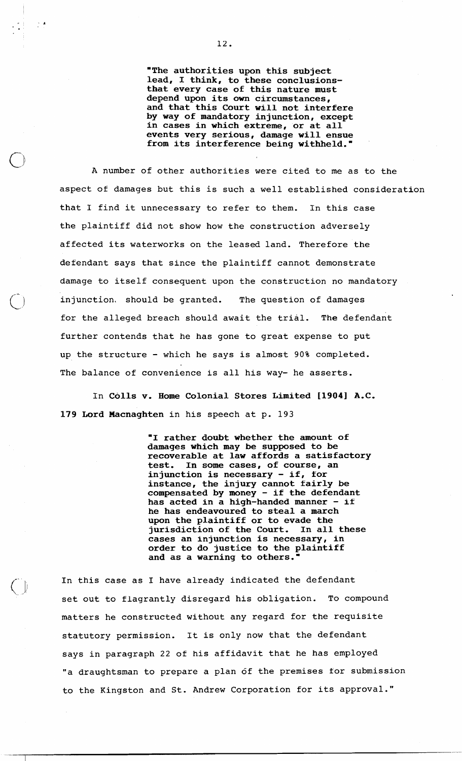"The authorities upon this subject lead, I think, to these conclusionsthat every case of this nature must depend upon its own circumstances, and that this Court will not interfere by way of mandatory injunction, except in cases in which extreme, or at all events very serious, damage will ensue from its interference being withheld."

A number of other authorities were cited to me as to the aspect of damages but this is such a well established consideration that I find it unnecessary to refer to them. In this case the plaintiff did not show how the construction adversely affected its waterworks on the leased land. Therefore the defendant says that since the plaintiff cannot demonstrate damage to itself consequent upon the construction no mandatory injunction, should be granted. The question of damages for the alleged breach should await the trial. The defendant further contends that he has gone to great expense to put up the structure - which he says is almost 90% completed. The balance of convenience is all his way- he asserts.

In Colls v. Home Colonial Stores Limited **119041** A.C. 179 Lord Macnaghten in his speech at p. 193

> "I rather doubt whether the amount of damages which may be supposed to be recoverable at law affords a satisfactory In some cases, of course, an injunction is necessary - if, for instance, the injury cannot fairly be compensated by money - if the defendant compensated by money - if the detendant<br>has acted in a high-handed manner - if he has endeavoured to steal a march upon the plaintiff or to evade the jurisdiction of the Court, In all these cases an injunction is necessary, in order to do justice to the plaintiff and as a warning to others.

In this case as I have already indicated the defendant set out to flagrantly disregard his obligation. To compound matters he constructed without any regard for the requisite statutory permission. It is only now that the defendant says in paragraph 22 of his affidavit that he has employed "a draughtsman to prepare a plan of the premises for submission to the Kingston and St. Andrew Corporation for its approval."

 $\frac{5}{2}$  –  $\frac{4}{2}$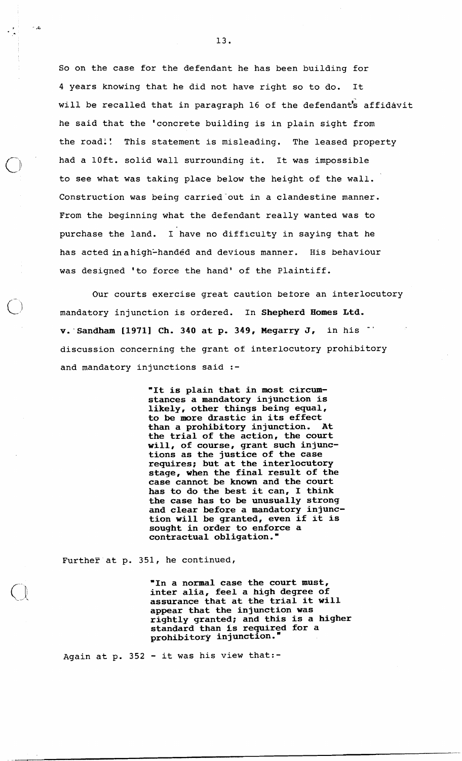So on the case for the defendant he has been building for 4 years knowing that he did not have right so to do. It will be recalled that in paragraph 16 of the defendant's affidavit he said that the 'concrete building is in plain sight from the road:! This statement is misleading. The leased property had a loft. solid wall surrounding it. It was impossible to see what was taking place below the height of the wall. Construction was being carried out in a clandestine manner. From the beginning what the defendant really wanted was to purchase the land. I have no difficulty in saying that he has acted in a high-handed and devious manner. His behaviour was designed 'to force the hand' of the Plaintiff.

Our courts exercise great caution betore an interlocutory mandatory injunction is ordered. In Shepherd Homes Ltd.  $v.$  Sandham [1971] Ch. 340 at p. 349, Megarry J, in his discussion concerning the grant of interlocutory prohibitory and mandatory injunctions said :-

> "It is plain that in most circumstances a mandatory injunction is likely, other things being equal, to be more drastic in its effect than a prohibitory injunction. At the trial of the action, the court will, of course, grant such injunctions as the justice of the case requires; but at the interlocutory stage, when the final result of the case cannot be known and the court has to do the best it can, I think the case has to be unusually strong and clear before a mandatory injunction will be granted, even if it is sought in order to enforce a contractual obligation."

Further at p.  $351$ , he continued,

"In a normal case the court must, inter alia, feel a high degree of assurance that at the trial it will appear that the injunction was rightly granted; and this is a higher standard than is required for a prohibitory injunction.

Again at p. 352 - it was his view that:-

 $\sim 10$